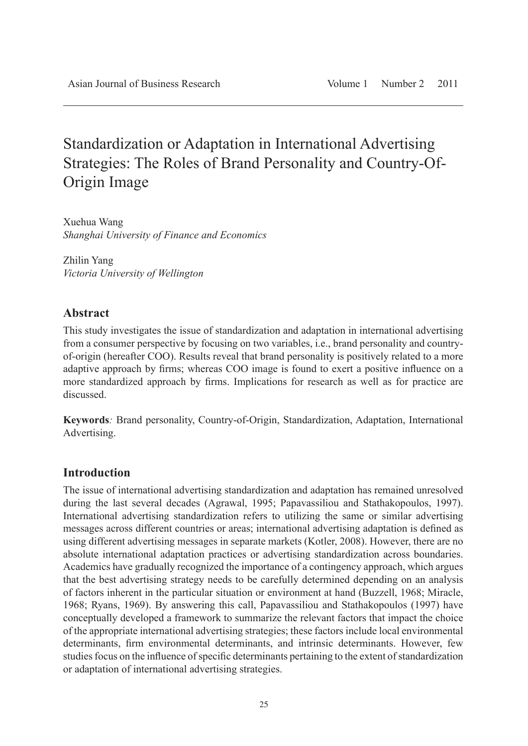# Standardization or Adaptation in International Advertising Strategies: The Roles of Brand Personality and Country-Of-Origin Image

Xuehua Wang *Shanghai University of Finance and Economics*

Zhilin Yang *Victoria University of Wellington*

## **Abstract**

This study investigates the issue of standardization and adaptation in international advertising from a consumer perspective by focusing on two variables, i.e., brand personality and countryof-origin (hereafter COO). Results reveal that brand personality is positively related to a more adaptive approach by firms; whereas COO image is found to exert a positive influence on a more standardized approach by firms. Implications for research as well as for practice are discussed.

**Keywords***:* Brand personality, Country-of-Origin, Standardization, Adaptation, International Advertising.

## **Introduction**

The issue of international advertising standardization and adaptation has remained unresolved during the last several decades (Agrawal, 1995; Papavassiliou and Stathakopoulos, 1997). International advertising standardization refers to utilizing the same or similar advertising messages across different countries or areas; international advertising adaptation is defined as using different advertising messages in separate markets (Kotler, 2008). However, there are no absolute international adaptation practices or advertising standardization across boundaries. Academics have gradually recognized the importance of a contingency approach, which argues that the best advertising strategy needs to be carefully determined depending on an analysis of factors inherent in the particular situation or environment at hand (Buzzell, 1968; Miracle, 1968; Ryans, 1969). By answering this call, Papavassiliou and Stathakopoulos (1997) have conceptually developed a framework to summarize the relevant factors that impact the choice of the appropriate international advertising strategies; these factors include local environmental determinants, firm environmental determinants, and intrinsic determinants. However, few studies focus on the influence of specific determinants pertaining to the extent of standardization or adaptation of international advertising strategies.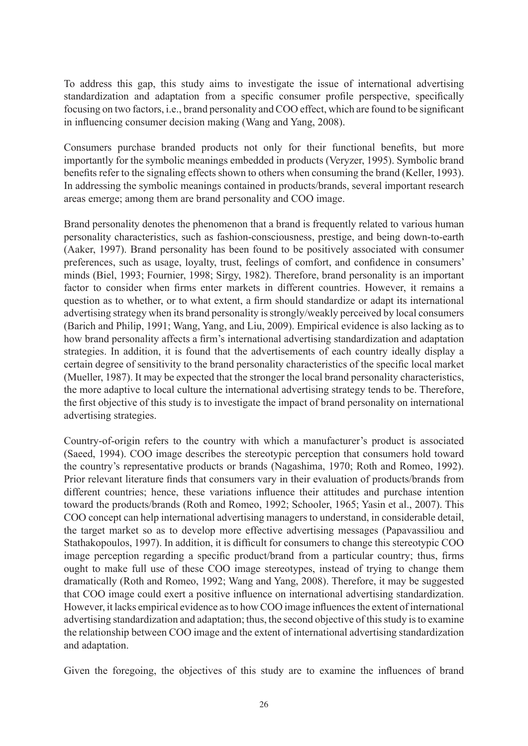To address this gap, this study aims to investigate the issue of international advertising standardization and adaptation from a specific consumer profile perspective, specifically focusing on two factors, i.e., brand personality and COO effect, which are found to be significant in influencing consumer decision making (Wang and Yang, 2008).

Consumers purchase branded products not only for their functional benefits, but more importantly for the symbolic meanings embedded in products (Veryzer, 1995). Symbolic brand benefits refer to the signaling effects shown to others when consuming the brand (Keller, 1993). In addressing the symbolic meanings contained in products/brands, several important research areas emerge; among them are brand personality and COO image.

Brand personality denotes the phenomenon that a brand is frequently related to various human personality characteristics, such as fashion-consciousness, prestige, and being down-to-earth (Aaker, 1997). Brand personality has been found to be positively associated with consumer preferences, such as usage, loyalty, trust, feelings of comfort, and confidence in consumers' minds (Biel, 1993; Fournier, 1998; Sirgy, 1982). Therefore, brand personality is an important factor to consider when firms enter markets in different countries. However, it remains a question as to whether, or to what extent, a firm should standardize or adapt its international advertising strategy when its brand personality is strongly/weakly perceived by local consumers (Barich and Philip, 1991; Wang, Yang, and Liu, 2009). Empirical evidence is also lacking as to how brand personality affects a firm's international advertising standardization and adaptation strategies. In addition, it is found that the advertisements of each country ideally display a certain degree of sensitivity to the brand personality characteristics of the specific local market (Mueller, 1987). It may be expected that the stronger the local brand personality characteristics, the more adaptive to local culture the international advertising strategy tends to be. Therefore, the first objective of this study is to investigate the impact of brand personality on international advertising strategies.

Country-of-origin refers to the country with which a manufacturer's product is associated (Saeed, 1994). COO image describes the stereotypic perception that consumers hold toward the country's representative products or brands (Nagashima, 1970; Roth and Romeo, 1992). Prior relevant literature finds that consumers vary in their evaluation of products/brands from different countries; hence, these variations influence their attitudes and purchase intention toward the products/brands (Roth and Romeo, 1992; Schooler, 1965; Yasin et al., 2007). This COO concept can help international advertising managers to understand, in considerable detail, the target market so as to develop more effective advertising messages (Papavassiliou and Stathakopoulos, 1997). In addition, it is difficult for consumers to change this stereotypic COO image perception regarding a specific product/brand from a particular country; thus, firms ought to make full use of these COO image stereotypes, instead of trying to change them dramatically (Roth and Romeo, 1992; Wang and Yang, 2008). Therefore, it may be suggested that COO image could exert a positive influence on international advertising standardization. However, it lacks empirical evidence as to how COO image influences the extent of international advertising standardization and adaptation; thus, the second objective of this study is to examine the relationship between COO image and the extent of international advertising standardization and adaptation.

Given the foregoing, the objectives of this study are to examine the influences of brand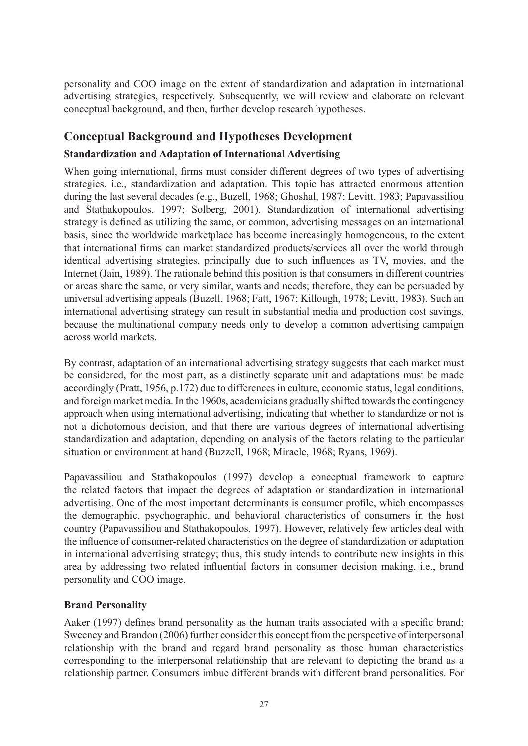personality and COO image on the extent of standardization and adaptation in international advertising strategies, respectively. Subsequently, we will review and elaborate on relevant conceptual background, and then, further develop research hypotheses.

# **Conceptual Background and Hypotheses Development**

## **Standardization and Adaptation of International Advertising**

When going international, firms must consider different degrees of two types of advertising strategies, i.e., standardization and adaptation. This topic has attracted enormous attention during the last several decades (e.g., Buzell, 1968; Ghoshal, 1987; Levitt, 1983; Papavassiliou and Stathakopoulos, 1997; Solberg, 2001). Standardization of international advertising strategy is defined as utilizing the same, or common, advertising messages on an international basis, since the worldwide marketplace has become increasingly homogeneous, to the extent that international firms can market standardized products/services all over the world through identical advertising strategies, principally due to such influences as TV, movies, and the Internet (Jain, 1989). The rationale behind this position is that consumers in different countries or areas share the same, or very similar, wants and needs; therefore, they can be persuaded by universal advertising appeals (Buzell, 1968; Fatt, 1967; Killough, 1978; Levitt, 1983). Such an international advertising strategy can result in substantial media and production cost savings, because the multinational company needs only to develop a common advertising campaign across world markets.

By contrast, adaptation of an international advertising strategy suggests that each market must be considered, for the most part, as a distinctly separate unit and adaptations must be made accordingly (Pratt, 1956, p.172) due to differences in culture, economic status, legal conditions, and foreign market media. In the 1960s, academicians gradually shifted towards the contingency approach when using international advertising, indicating that whether to standardize or not is not a dichotomous decision, and that there are various degrees of international advertising standardization and adaptation, depending on analysis of the factors relating to the particular situation or environment at hand (Buzzell, 1968; Miracle, 1968; Ryans, 1969).

Papavassiliou and Stathakopoulos (1997) develop a conceptual framework to capture the related factors that impact the degrees of adaptation or standardization in international advertising. One of the most important determinants is consumer profile, which encompasses the demographic, psychographic, and behavioral characteristics of consumers in the host country (Papavassiliou and Stathakopoulos, 1997). However, relatively few articles deal with the influence of consumer-related characteristics on the degree of standardization or adaptation in international advertising strategy; thus, this study intends to contribute new insights in this area by addressing two related influential factors in consumer decision making, i.e., brand personality and COO image.

## **Brand Personality**

Aaker (1997) defines brand personality as the human traits associated with a specific brand; Sweeney and Brandon (2006) further consider this concept from the perspective of interpersonal relationship with the brand and regard brand personality as those human characteristics corresponding to the interpersonal relationship that are relevant to depicting the brand as a relationship partner. Consumers imbue different brands with different brand personalities. For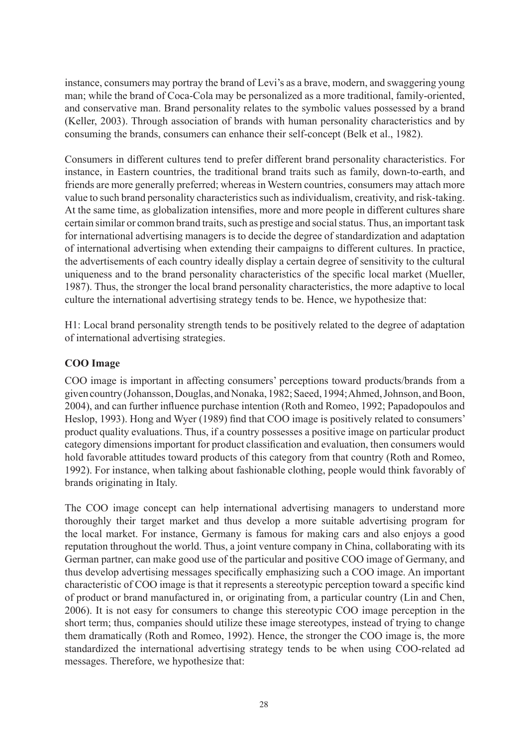instance, consumers may portray the brand of Levi's as a brave, modern, and swaggering young man; while the brand of Coca-Cola may be personalized as a more traditional, family-oriented, and conservative man. Brand personality relates to the symbolic values possessed by a brand (Keller, 2003). Through association of brands with human personality characteristics and by consuming the brands, consumers can enhance their self-concept (Belk et al., 1982).

Consumers in different cultures tend to prefer different brand personality characteristics. For instance, in Eastern countries, the traditional brand traits such as family, down-to-earth, and friends are more generally preferred; whereas in Western countries, consumers may attach more value to such brand personality characteristics such as individualism, creativity, and risk-taking. At the same time, as globalization intensifies, more and more people in different cultures share certain similar or common brand traits, such as prestige and social status. Thus, an important task for international advertising managers is to decide the degree of standardization and adaptation of international advertising when extending their campaigns to different cultures. In practice, the advertisements of each country ideally display a certain degree of sensitivity to the cultural uniqueness and to the brand personality characteristics of the specific local market (Mueller, 1987). Thus, the stronger the local brand personality characteristics, the more adaptive to local culture the international advertising strategy tends to be. Hence, we hypothesize that:

H1: Local brand personality strength tends to be positively related to the degree of adaptation of international advertising strategies.

#### **COO Image**

COO image is important in affecting consumers' perceptions toward products/brands from a given country (Johansson, Douglas, and Nonaka, 1982; Saeed, 1994; Ahmed, Johnson, and Boon, 2004), and can further influence purchase intention (Roth and Romeo, 1992; Papadopoulos and Heslop, 1993). Hong and Wyer (1989) find that COO image is positively related to consumers' product quality evaluations. Thus, if a country possesses a positive image on particular product category dimensions important for product classification and evaluation, then consumers would hold favorable attitudes toward products of this category from that country (Roth and Romeo, 1992). For instance, when talking about fashionable clothing, people would think favorably of brands originating in Italy.

The COO image concept can help international advertising managers to understand more thoroughly their target market and thus develop a more suitable advertising program for the local market. For instance, Germany is famous for making cars and also enjoys a good reputation throughout the world. Thus, a joint venture company in China, collaborating with its German partner, can make good use of the particular and positive COO image of Germany, and thus develop advertising messages specifically emphasizing such a COO image. An important characteristic of COO image is that it represents a stereotypic perception toward a specific kind of product or brand manufactured in, or originating from, a particular country (Lin and Chen, 2006). It is not easy for consumers to change this stereotypic COO image perception in the short term; thus, companies should utilize these image stereotypes, instead of trying to change them dramatically (Roth and Romeo, 1992). Hence, the stronger the COO image is, the more standardized the international advertising strategy tends to be when using COO-related ad messages. Therefore, we hypothesize that: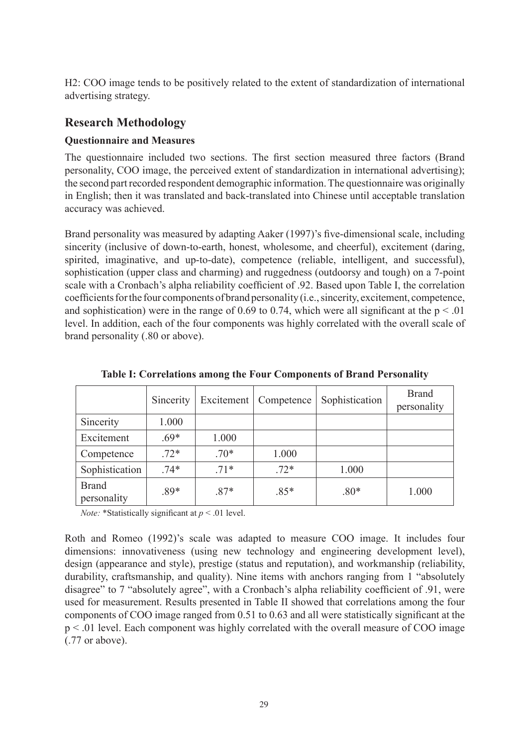H2: COO image tends to be positively related to the extent of standardization of international advertising strategy.

## **Research Methodology**

#### **Questionnaire and Measures**

The questionnaire included two sections. The first section measured three factors (Brand personality, COO image, the perceived extent of standardization in international advertising); the second part recorded respondent demographic information. The questionnaire was originally in English; then it was translated and back-translated into Chinese until acceptable translation accuracy was achieved.

Brand personality was measured by adapting Aaker (1997)'s five-dimensional scale, including sincerity (inclusive of down-to-earth, honest, wholesome, and cheerful), excitement (daring, spirited, imaginative, and up-to-date), competence (reliable, intelligent, and successful), sophistication (upper class and charming) and ruggedness (outdoorsy and tough) on a 7-point scale with a Cronbach's alpha reliability coefficient of .92. Based upon Table I, the correlation coefficients for the four components of brand personality (i.e., sincerity, excitement, competence, and sophistication) were in the range of 0.69 to 0.74, which were all significant at the  $p < 0.01$ level. In addition, each of the four components was highly correlated with the overall scale of brand personality (.80 or above).

|                             | Sincerity |        | Excitement   Competence | Sophistication | <b>Brand</b><br>personality |
|-----------------------------|-----------|--------|-------------------------|----------------|-----------------------------|
| Sincerity                   | 1.000     |        |                         |                |                             |
| Excitement                  | $.69*$    | 1.000  |                         |                |                             |
| Competence                  | $.72*$    | $.70*$ | 1.000                   |                |                             |
| Sophistication              | $.74*$    | $.71*$ | $.72*$                  | 1.000          |                             |
| <b>Brand</b><br>personality | .89*      | $.87*$ | $.85*$                  | $.80*$         | 1.000                       |

**Table I: Correlations among the Four Components of Brand Personality**

*Note:* \*Statistically significant at *p* < .01 level.

Roth and Romeo (1992)'s scale was adapted to measure COO image. It includes four dimensions: innovativeness (using new technology and engineering development level), design (appearance and style), prestige (status and reputation), and workmanship (reliability, durability, craftsmanship, and quality). Nine items with anchors ranging from 1 "absolutely disagree" to 7 "absolutely agree", with a Cronbach's alpha reliability coefficient of .91, were used for measurement. Results presented in Table II showed that correlations among the four components of COO image ranged from 0.51 to 0.63 and all were statistically significant at the p < .01 level. Each component was highly correlated with the overall measure of COO image (.77 or above).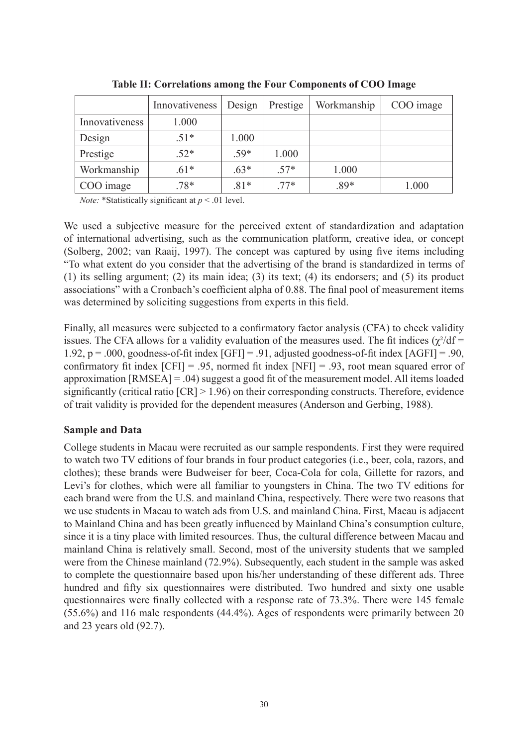|                | Innovativeness | Design | Prestige | Workmanship | COO image |
|----------------|----------------|--------|----------|-------------|-----------|
| Innovativeness | 1.000          |        |          |             |           |
| Design         | $.51*$         | 1.000  |          |             |           |
| Prestige       | $.52*$         | $.59*$ | 1.000    |             |           |
| Workmanship    | $.61*$         | $.63*$ | $.57*$   | 1.000       |           |
| COO image      | $.78*$         | $.81*$ | $.77*$   | $.89*$      | 1.000     |

**Table II: Correlations among the Four Components of COO Image**

*Note:* \*Statistically significant at *p* < .01 level.

We used a subjective measure for the perceived extent of standardization and adaptation of international advertising, such as the communication platform, creative idea, or concept (Solberg, 2002; van Raaij, 1997). The concept was captured by using five items including "To what extent do you consider that the advertising of the brand is standardized in terms of (1) its selling argument; (2) its main idea; (3) its text; (4) its endorsers; and (5) its product associations" with a Cronbach's coefficient alpha of 0.88. The final pool of measurement items was determined by soliciting suggestions from experts in this field.

Finally, all measures were subjected to a confirmatory factor analysis (CFA) to check validity issues. The CFA allows for a validity evaluation of the measures used. The fit indices  $(\chi^2/df =$ 1.92,  $p = .000$ , goodness-of-fit index  $[GFI] = .91$ , adjusted goodness-of-fit index  $[AGFI] = .90$ , confirmatory fit index  $[CFI] = .95$ , normed fit index  $[NFI] = .93$ , root mean squared error of approximation [RMSEA] = .04) suggest a good fit of the measurement model. All items loaded significantly (critical ratio [CR] > 1.96) on their corresponding constructs. Therefore, evidence of trait validity is provided for the dependent measures (Anderson and Gerbing, 1988).

#### **Sample and Data**

College students in Macau were recruited as our sample respondents. First they were required to watch two TV editions of four brands in four product categories (i.e., beer, cola, razors, and clothes); these brands were Budweiser for beer, Coca-Cola for cola, Gillette for razors, and Levi's for clothes, which were all familiar to youngsters in China. The two TV editions for each brand were from the U.S. and mainland China, respectively. There were two reasons that we use students in Macau to watch ads from U.S. and mainland China. First, Macau is adjacent to Mainland China and has been greatly influenced by Mainland China's consumption culture, since it is a tiny place with limited resources. Thus, the cultural difference between Macau and mainland China is relatively small. Second, most of the university students that we sampled were from the Chinese mainland (72.9%). Subsequently, each student in the sample was asked to complete the questionnaire based upon his/her understanding of these different ads. Three hundred and fifty six questionnaires were distributed. Two hundred and sixty one usable questionnaires were finally collected with a response rate of 73.3%. There were 145 female (55.6%) and 116 male respondents (44.4%). Ages of respondents were primarily between 20 and 23 years old (92.7).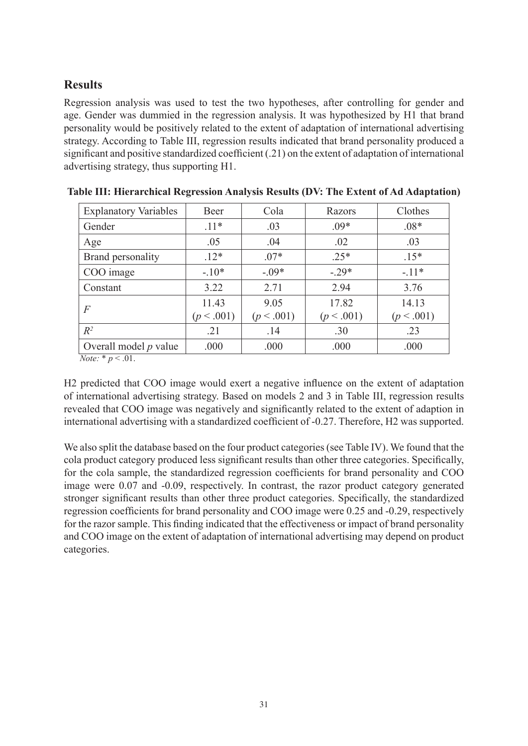# **Results**

Regression analysis was used to test the two hypotheses, after controlling for gender and age. Gender was dummied in the regression analysis. It was hypothesized by H1 that brand personality would be positively related to the extent of adaptation of international advertising strategy. According to Table III, regression results indicated that brand personality produced a significant and positive standardized coefficient (.21) on the extent of adaptation of international advertising strategy, thus supporting H1.

| <b>Explanatory Variables</b> | Beer                | Cola               | Razors              | Clothes             |
|------------------------------|---------------------|--------------------|---------------------|---------------------|
| Gender                       | $.11*$              | .03                | $.09*$              | $.08*$              |
| Age                          | .05                 | .04                | .02                 | .03                 |
| Brand personality            | $.12*$              | $.07*$             | $.25*$              | $.15*$              |
| COO image                    | $-10*$              | $-0.09*$           | $-29*$              | $-11*$              |
| Constant                     | 3.22                | 2.71               | 2.94                | 3.76                |
| $\overline{F}$               | 11.43<br>(p < .001) | 9.05<br>(p < .001) | 17.82<br>(p < .001) | 14.13<br>(p < .001) |
| $R^2$                        | .21                 | .14                | .30                 | .23                 |
| Overall model $p$ value      | .000                | .000               | .000                | .000                |

|  |  | Table III: Hierarchical Regression Analysis Results (DV: The Extent of Ad Adaptation) |  |  |  |  |  |  |  |
|--|--|---------------------------------------------------------------------------------------|--|--|--|--|--|--|--|
|--|--|---------------------------------------------------------------------------------------|--|--|--|--|--|--|--|

*Note:*  $* p < .01$ .

H2 predicted that COO image would exert a negative influence on the extent of adaptation of international advertising strategy. Based on models 2 and 3 in Table III, regression results revealed that COO image was negatively and significantly related to the extent of adaption in international advertising with a standardized coefficient of -0.27. Therefore, H2 was supported.

We also split the database based on the four product categories (see Table IV). We found that the cola product category produced less significant results than other three categories. Specifically, for the cola sample, the standardized regression coefficients for brand personality and COO image were 0.07 and -0.09, respectively. In contrast, the razor product category generated stronger significant results than other three product categories. Specifically, the standardized regression coefficients for brand personality and COO image were 0.25 and -0.29, respectively for the razor sample. This finding indicated that the effectiveness or impact of brand personality and COO image on the extent of adaptation of international advertising may depend on product categories.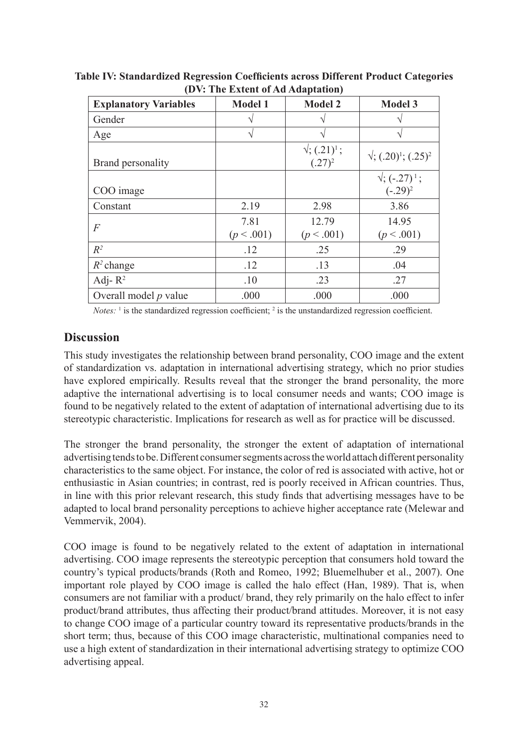| <b>Explanatory Variables</b> | <b>Model 1</b>     | <b>Model 2</b>                   | <b>Model 3</b>                    |  |
|------------------------------|--------------------|----------------------------------|-----------------------------------|--|
| Gender                       | N                  |                                  |                                   |  |
| Age                          | V                  |                                  | ٦                                 |  |
| Brand personality            |                    | $\sqrt{(0.21)^1}$ ;<br>$(.27)^2$ | $\sqrt{(0.20)^1}$ ; $(.25)^2$     |  |
| COO image                    |                    |                                  | $\sqrt{(-.27)^1}$ ;<br>$(-.29)^2$ |  |
| Constant                     | 2.19               | 2.98                             | 3.86                              |  |
| $\overline{F}$               | 7.81<br>(p < .001) | 12.79<br>(p < .001)              | 14.95<br>(p < .001)               |  |
| $R^2$                        | .12                | .25                              | .29                               |  |
| $R^2$ change                 | .12                | .13                              | .04                               |  |
| Adj- $R^2$                   | .10                | .23                              | .27                               |  |
| Overall model $p$ value      | .000               | .000                             | .000                              |  |

**Table IV: Standardized Regression Coefficients across Different Product Categories (DV: The Extent of Ad Adaptation)**

*Notes*:  $\frac{1}{1}$  is the standardized regression coefficient;  $\frac{2}{1}$  is the unstandardized regression coefficient.

## **Discussion**

This study investigates the relationship between brand personality, COO image and the extent of standardization vs. adaptation in international advertising strategy, which no prior studies have explored empirically. Results reveal that the stronger the brand personality, the more adaptive the international advertising is to local consumer needs and wants; COO image is found to be negatively related to the extent of adaptation of international advertising due to its stereotypic characteristic. Implications for research as well as for practice will be discussed.

The stronger the brand personality, the stronger the extent of adaptation of international advertising tends to be. Different consumer segments across the world attach different personality characteristics to the same object. For instance, the color of red is associated with active, hot or enthusiastic in Asian countries; in contrast, red is poorly received in African countries. Thus, in line with this prior relevant research, this study finds that advertising messages have to be adapted to local brand personality perceptions to achieve higher acceptance rate (Melewar and Vemmervik, 2004).

COO image is found to be negatively related to the extent of adaptation in international advertising. COO image represents the stereotypic perception that consumers hold toward the country's typical products/brands (Roth and Romeo, 1992; Bluemelhuber et al., 2007). One important role played by COO image is called the halo effect (Han, 1989). That is, when consumers are not familiar with a product/ brand, they rely primarily on the halo effect to infer product/brand attributes, thus affecting their product/brand attitudes. Moreover, it is not easy to change COO image of a particular country toward its representative products/brands in the short term; thus, because of this COO image characteristic, multinational companies need to use a high extent of standardization in their international advertising strategy to optimize COO advertising appeal.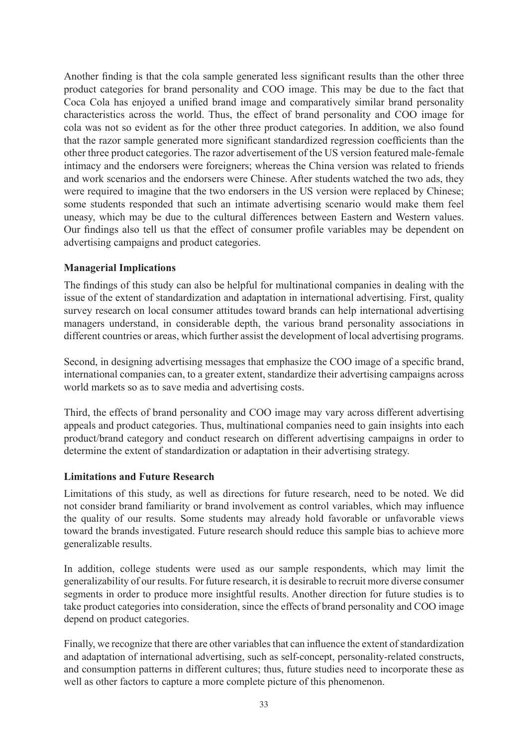Another finding is that the cola sample generated less significant results than the other three product categories for brand personality and COO image. This may be due to the fact that Coca Cola has enjoyed a unified brand image and comparatively similar brand personality characteristics across the world. Thus, the effect of brand personality and COO image for cola was not so evident as for the other three product categories. In addition, we also found that the razor sample generated more significant standardized regression coefficients than the other three product categories. The razor advertisement of the US version featured male-female intimacy and the endorsers were foreigners; whereas the China version was related to friends and work scenarios and the endorsers were Chinese. After students watched the two ads, they were required to imagine that the two endorsers in the US version were replaced by Chinese; some students responded that such an intimate advertising scenario would make them feel uneasy, which may be due to the cultural differences between Eastern and Western values. Our findings also tell us that the effect of consumer profile variables may be dependent on advertising campaigns and product categories.

#### **Managerial Implications**

The findings of this study can also be helpful for multinational companies in dealing with the issue of the extent of standardization and adaptation in international advertising. First, quality survey research on local consumer attitudes toward brands can help international advertising managers understand, in considerable depth, the various brand personality associations in different countries or areas, which further assist the development of local advertising programs.

Second, in designing advertising messages that emphasize the COO image of a specific brand, international companies can, to a greater extent, standardize their advertising campaigns across world markets so as to save media and advertising costs.

Third, the effects of brand personality and COO image may vary across different advertising appeals and product categories. Thus, multinational companies need to gain insights into each product/brand category and conduct research on different advertising campaigns in order to determine the extent of standardization or adaptation in their advertising strategy.

#### **Limitations and Future Research**

Limitations of this study, as well as directions for future research, need to be noted. We did not consider brand familiarity or brand involvement as control variables, which may influence the quality of our results. Some students may already hold favorable or unfavorable views toward the brands investigated. Future research should reduce this sample bias to achieve more generalizable results.

In addition, college students were used as our sample respondents, which may limit the generalizability of our results. For future research, it is desirable to recruit more diverse consumer segments in order to produce more insightful results. Another direction for future studies is to take product categories into consideration, since the effects of brand personality and COO image depend on product categories.

Finally, we recognize that there are other variables that can influence the extent of standardization and adaptation of international advertising, such as self-concept, personality-related constructs, and consumption patterns in different cultures; thus, future studies need to incorporate these as well as other factors to capture a more complete picture of this phenomenon.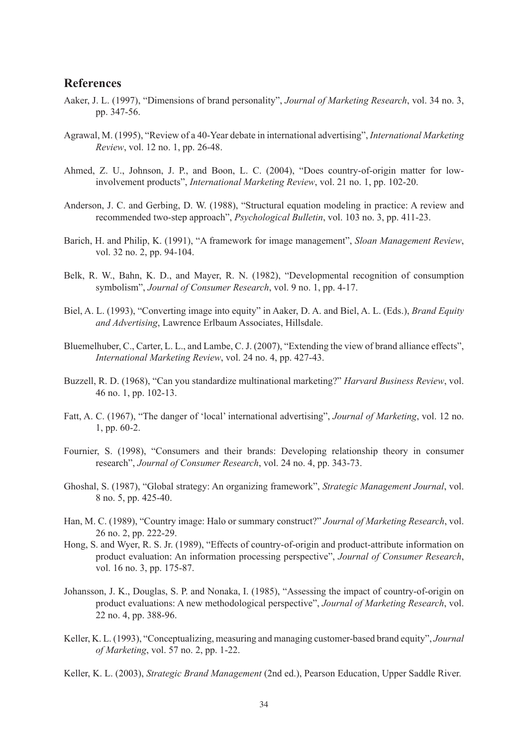#### **References**

- Aaker, J. L. (1997), "Dimensions of brand personality", *Journal of Marketing Research*, vol. 34 no. 3, pp. 347-56.
- Agrawal, M. (1995), "Review of a 40-Year debate in international advertising", *International Marketing Review*, vol. 12 no. 1, pp. 26-48.
- Ahmed, Z. U., Johnson, J. P., and Boon, L. C. (2004), "Does country-of-origin matter for lowinvolvement products", *International Marketing Review*, vol. 21 no. 1, pp. 102-20.
- Anderson, J. C. and Gerbing, D. W. (1988), "Structural equation modeling in practice: A review and recommended two-step approach", *Psychological Bulletin*, vol. 103 no. 3, pp. 411-23.
- Barich, H. and Philip, K. (1991), "A framework for image management", *Sloan Management Review*, vol. 32 no. 2, pp. 94-104.
- Belk, R. W., Bahn, K. D., and Mayer, R. N. (1982), "Developmental recognition of consumption symbolism", *Journal of Consumer Research*, vol. 9 no. 1, pp. 4-17.
- Biel, A. L. (1993), "Converting image into equity" in Aaker, D. A. and Biel, A. L. (Eds.), *Brand Equity and Advertising*, Lawrence Erlbaum Associates, Hillsdale.
- Bluemelhuber, C., Carter, L. L., and Lambe, C. J. (2007), "Extending the view of brand alliance effects", *International Marketing Review*, vol. 24 no. 4, pp. 427-43.
- Buzzell, R. D. (1968), "Can you standardize multinational marketing?" *Harvard Business Review*, vol. 46 no. 1, pp. 102-13.
- Fatt, A. C. (1967), "The danger of 'local' international advertising", *Journal of Marketing*, vol. 12 no. 1, pp. 60-2.
- Fournier, S. (1998), "Consumers and their brands: Developing relationship theory in consumer research", *Journal of Consumer Research*, vol. 24 no. 4, pp. 343-73.
- Ghoshal, S. (1987), "Global strategy: An organizing framework", *Strategic Management Journal*, vol. 8 no. 5, pp. 425-40.
- Han, M. C. (1989), "Country image: Halo or summary construct?" *Journal of Marketing Research*, vol. 26 no. 2, pp. 222-29.
- Hong, S. and Wyer, R. S. Jr. (1989), "Effects of country-of-origin and product-attribute information on product evaluation: An information processing perspective", *Journal of Consumer Research*, vol. 16 no. 3, pp. 175-87.
- Johansson, J. K., Douglas, S. P. and Nonaka, I. (1985), "Assessing the impact of country-of-origin on product evaluations: A new methodological perspective", *Journal of Marketing Research*, vol. 22 no. 4, pp. 388-96.
- Keller, K. L. (1993), "Conceptualizing, measuring and managing customer-based brand equity", *Journal of Marketing*, vol. 57 no. 2, pp. 1-22.
- Keller, K. L. (2003), *Strategic Brand Management* (2nd ed.), Pearson Education, Upper Saddle River.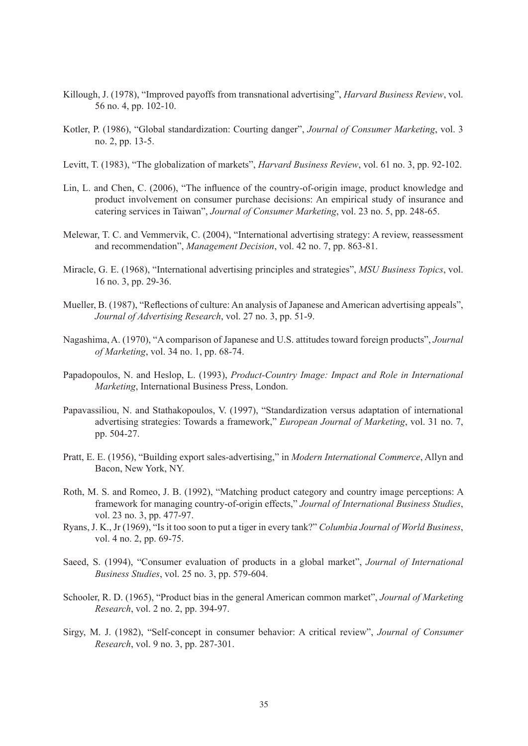- Killough, J. (1978), "Improved payoffs from transnational advertising", *Harvard Business Review*, vol. 56 no. 4, pp. 102-10.
- Kotler, P. (1986), "Global standardization: Courting danger", *Journal of Consumer Marketing*, vol. 3 no. 2, pp. 13-5.
- Levitt, T. (1983), "The globalization of markets", *Harvard Business Review*, vol. 61 no. 3, pp. 92-102.
- Lin, L. and Chen, C. (2006), "The influence of the country-of-origin image, product knowledge and product involvement on consumer purchase decisions: An empirical study of insurance and catering services in Taiwan", *Journal of Consumer Marketing*, vol. 23 no. 5, pp. 248-65.
- Melewar, T. C. and Vemmervik, C. (2004), "International advertising strategy: A review, reassessment and recommendation", *Management Decision*, vol. 42 no. 7, pp. 863-81.
- Miracle, G. E. (1968), "International advertising principles and strategies", *MSU Business Topics*, vol. 16 no. 3, pp. 29-36.
- Mueller, B. (1987), "Reflections of culture: An analysis of Japanese and American advertising appeals", *Journal of Advertising Research*, vol. 27 no. 3, pp. 51-9.
- Nagashima, A. (1970), "A comparison of Japanese and U.S. attitudes toward foreign products", *Journal of Marketing*, vol. 34 no. 1, pp. 68-74.
- Papadopoulos, N. and Heslop, L. (1993), *Product-Country Image: Impact and Role in International Marketing*, International Business Press, London.
- Papavassiliou, N. and Stathakopoulos, V. (1997), "Standardization versus adaptation of international advertising strategies: Towards a framework," *European Journal of Marketing*, vol. 31 no. 7, pp. 504-27.
- Pratt, E. E. (1956), "Building export sales-advertising," in *Modern International Commerce*, Allyn and Bacon, New York, NY.
- Roth, M. S. and Romeo, J. B. (1992), "Matching product category and country image perceptions: A framework for managing country-of-origin effects," *Journal of International Business Studies*, vol. 23 no. 3, pp. 477-97.
- Ryans, J. K., Jr (1969), "Is it too soon to put a tiger in every tank?" *Columbia Journal of World Business*, vol. 4 no. 2, pp. 69-75.
- Saeed, S. (1994), "Consumer evaluation of products in a global market", *Journal of International Business Studies*, vol. 25 no. 3, pp. 579-604.
- Schooler, R. D. (1965), "Product bias in the general American common market", *Journal of Marketing Research*, vol. 2 no. 2, pp. 394-97.
- Sirgy, M. J. (1982), "Self-concept in consumer behavior: A critical review", *Journal of Consumer Research*, vol. 9 no. 3, pp. 287-301.